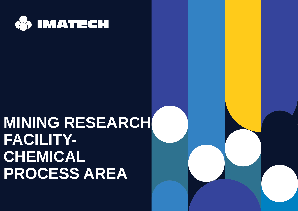

## **MINING RESEARCH FACILITY-CHEMICAL PROCESS AREA**

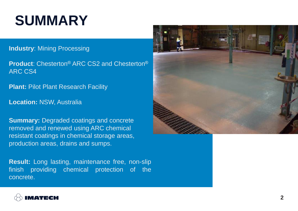## **SUMMARY**

#### **Industry**: Mining Processing

**Product**: Chesterton® ARC CS2 and Chesterton® ARC CS4

**Plant: Pilot Plant Research Facility** 

**Location:** NSW, Australia

**Summary: Degraded coatings and concrete** removed and renewed using ARC chemical resistant coatings in chemical storage areas, production areas, drains and sumps.

**Result:** Long lasting, maintenance free, non-slip finish providing chemical protection of the concrete.



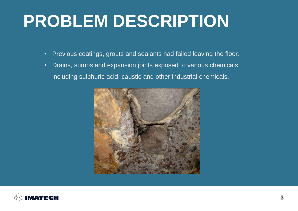# **PROBLEM DESCRIPTION**

- Previous coatings, grouts and sealants had failed leaving the floor.
- Drains, sumps and expansion joints exposed to various chemicals including sulphuric acid, caustic and other industrial chemicals.



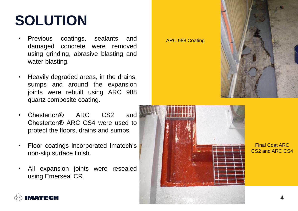## **SOLUTION**

- Previous coatings, sealants and damaged concrete were removed using grinding, abrasive blasting and water blasting.
- Heavily degraded areas, in the drains, sumps and around the expansion joints were rebuilt using ARC 988 quartz composite coating.
- Chesterton® ARC CS2 and Chesterton® ARC CS4 were used to protect the floors, drains and sumps.
- Floor coatings incorporated Imatech's non-slip surface finish.
- All expansion joints were resealed using Emerseal CR.





Final Coat ARC CS2 and ARC CS4

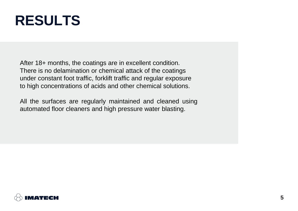### **RESULTS**

After 18+ months, the coatings are in excellent condition. There is no delamination or chemical attack of the coatings under constant foot traffic, forklift traffic and regular exposure to high concentrations of acids and other chemical solutions.

All the surfaces are regularly maintained and cleaned using automated floor cleaners and high pressure water blasting.